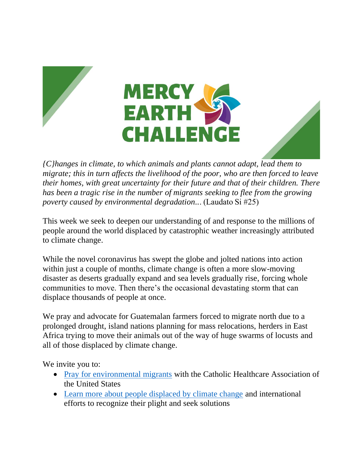



*{C}hanges in climate, to which animals and plants cannot adapt, lead them to migrate; this in turn affects the livelihood of the poor, who are then forced to leave their homes, with great uncertainty for their future and that of their children. There has been a tragic rise in the number of migrants seeking to flee from the growing poverty caused by environmental degradation..*. (Laudato Si #25) 

This week we seek to deepen our understanding of and response to the millions of people around the world displaced by catastrophic weather increasingly attributed to climate change.

While the novel coronavirus has swept the globe and jolted nations into action within just a couple of months, climate change is often a more slow-moving disaster as deserts gradually expand and sea levels gradually rise, forcing whole communities to move. Then there's the occasional devastating storm that can displace thousands of people at once.

We pray and advocate for Guatemalan farmers forced to migrate north due to a prolonged drought, island nations planning for mass relocations, herders in East Africa trying to move their animals out of the way of huge swarms of locusts and all of those displaced by climate change.

We invite you to:

- [Pray for environmental migrants](https://www.chausa.org/prayers/general-prayers-and-prayer-services/healing-and-health/prayer-for-environmental-migrants) with the Catholic Healthcare Association of the United States
- [Learn more about people displaced by climate change](https://www.npr.org/sections/goatsandsoda/2018/06/20/621782275/the-refugees-that-the-world-barely-pays-attention-to) and international efforts to recognize their plight and seek solutions